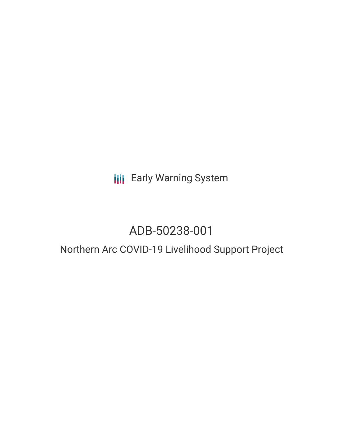# **III** Early Warning System

# ADB-50238-001

## Northern Arc COVID-19 Livelihood Support Project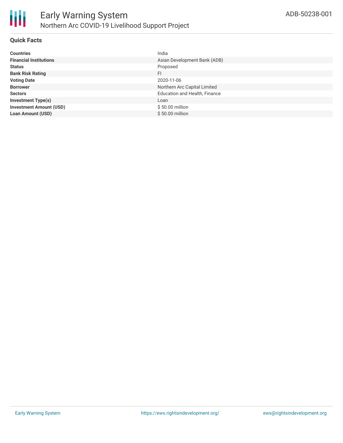

### **Quick Facts**

| <b>Countries</b>               | India                                |
|--------------------------------|--------------------------------------|
| <b>Financial Institutions</b>  | Asian Development Bank (ADB)         |
| <b>Status</b>                  | Proposed                             |
| <b>Bank Risk Rating</b>        | FI                                   |
| <b>Voting Date</b>             | 2020-11-06                           |
| <b>Borrower</b>                | Northern Arc Capital Limited         |
| <b>Sectors</b>                 | <b>Education and Health, Finance</b> |
| <b>Investment Type(s)</b>      | Loan                                 |
| <b>Investment Amount (USD)</b> | \$50.00 million                      |
| <b>Loan Amount (USD)</b>       | $$50.00$ million                     |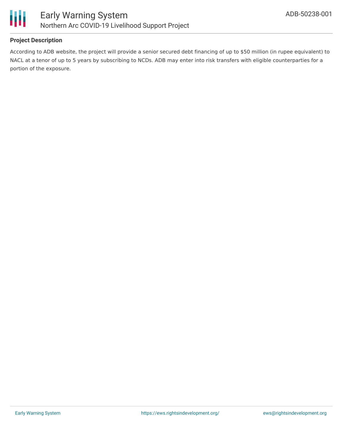

### **Project Description**

According to ADB website, the project will provide a senior secured debt financing of up to \$50 million (in rupee equivalent) to NACL at a tenor of up to 5 years by subscribing to NCDs. ADB may enter into risk transfers with eligible counterparties for a portion of the exposure.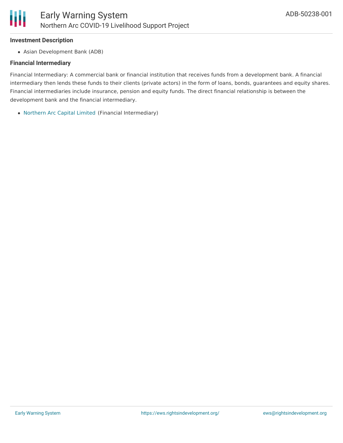#### **Investment Description**

Asian Development Bank (ADB)

### **Financial Intermediary**

Financial Intermediary: A commercial bank or financial institution that receives funds from a development bank. A financial intermediary then lends these funds to their clients (private actors) in the form of loans, bonds, guarantees and equity shares. Financial intermediaries include insurance, pension and equity funds. The direct financial relationship is between the development bank and the financial intermediary.

[Northern](file:///actor/3415/) Arc Capital Limited (Financial Intermediary)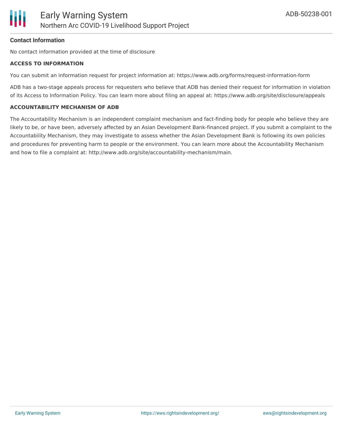

#### **Contact Information**

No contact information provided at the time of disclosure

#### **ACCESS TO INFORMATION**

You can submit an information request for project information at: https://www.adb.org/forms/request-information-form

ADB has a two-stage appeals process for requesters who believe that ADB has denied their request for information in violation of its Access to Information Policy. You can learn more about filing an appeal at: https://www.adb.org/site/disclosure/appeals

#### **ACCOUNTABILITY MECHANISM OF ADB**

The Accountability Mechanism is an independent complaint mechanism and fact-finding body for people who believe they are likely to be, or have been, adversely affected by an Asian Development Bank-financed project. If you submit a complaint to the Accountability Mechanism, they may investigate to assess whether the Asian Development Bank is following its own policies and procedures for preventing harm to people or the environment. You can learn more about the Accountability Mechanism and how to file a complaint at: http://www.adb.org/site/accountability-mechanism/main.